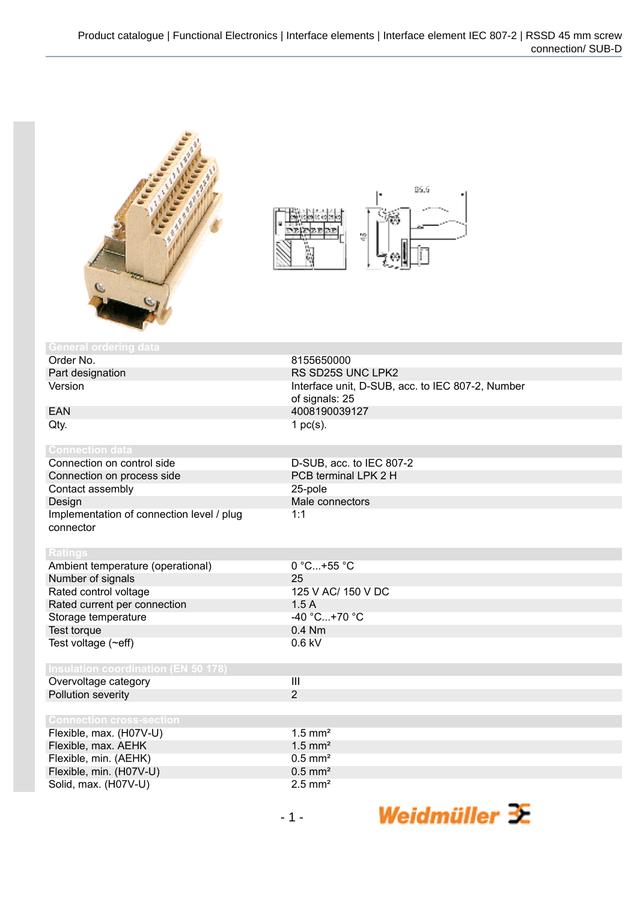



| <b>General ordering data</b>               |                                                                    |
|--------------------------------------------|--------------------------------------------------------------------|
| Order No.                                  | 8155650000                                                         |
| Part designation                           | RS SD25S UNC LPK2                                                  |
| Version                                    | Interface unit, D-SUB, acc. to IEC 807-2, Number<br>of signals: 25 |
| <b>EAN</b>                                 | 4008190039127                                                      |
| Qty.                                       | 1 $pc(s)$ .                                                        |
|                                            |                                                                    |
| <b>Connection data</b>                     |                                                                    |
| Connection on control side                 | D-SUB, acc. to IEC 807-2                                           |
| Connection on process side                 | PCB terminal LPK 2 H                                               |
| Contact assembly                           | 25-pole                                                            |
| Design                                     | Male connectors                                                    |
| Implementation of connection level / plug  | 1:1                                                                |
| connector                                  |                                                                    |
|                                            |                                                                    |
| <b>Ratings</b>                             |                                                                    |
| Ambient temperature (operational)          | $0 °C+55 °C$                                                       |
| Number of signals                          | 25                                                                 |
| Rated control voltage                      | 125 V AC/ 150 V DC                                                 |
| Rated current per connection               | 1.5A                                                               |
| Storage temperature                        | $-40 °C+70 °C$                                                     |
| Test torque                                | $0.4$ Nm                                                           |
| Test voltage (~eff)                        | $0.6$ kV                                                           |
|                                            |                                                                    |
| <b>Insulation coordination (EN 50 178)</b> |                                                                    |
| Overvoltage category                       | $\mathbf{III}$                                                     |
| Pollution severity                         | $\overline{2}$                                                     |
|                                            |                                                                    |
| <b>Connection cross-section</b>            |                                                                    |
| Flexible, max. (H07V-U)                    | $1.5$ mm <sup>2</sup>                                              |
| Flexible, max. AEHK                        | $1.5$ mm <sup>2</sup>                                              |
| Flexible, min. (AEHK)                      | $0.5$ mm <sup>2</sup>                                              |
| Flexible, min. (H07V-U)                    | $0.5$ mm <sup>2</sup>                                              |
| Solid, max. (H07V-U)                       | $2.5$ mm <sup>2</sup>                                              |
|                                            |                                                                    |

Weidmüller 3E